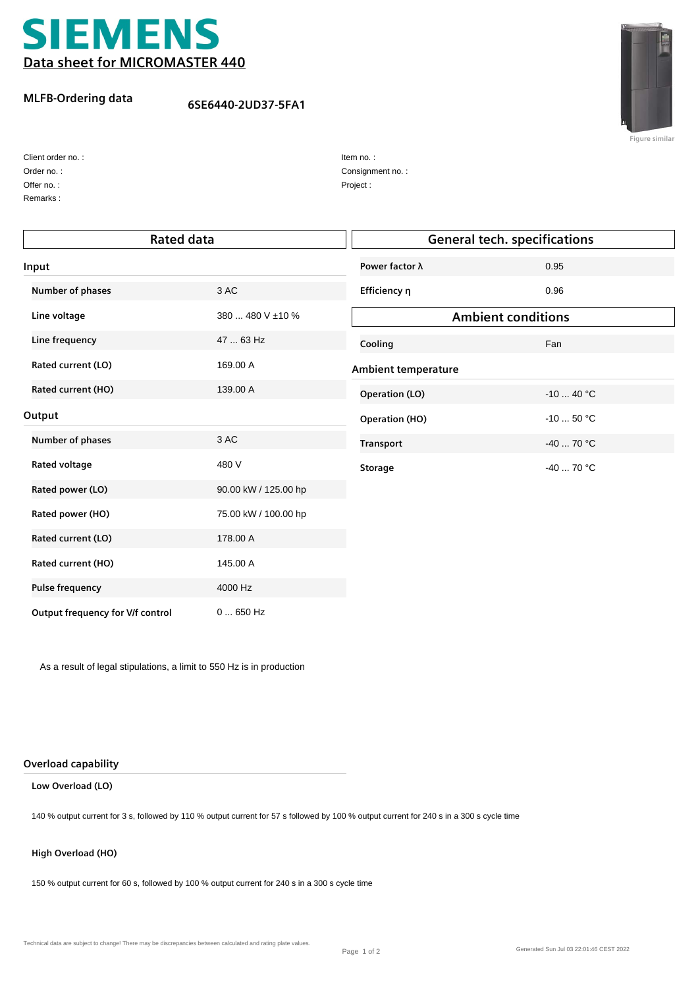

## **MLFB-Ordering data**

## **6SE6440-2UD37-5FA1**



**Figure similar**

| Client order no.: |  |
|-------------------|--|
| Order no.:        |  |

Remarks : Offer no. :

| Item no.:        |
|------------------|
| Consignment no.: |
| Project:         |

| <b>Rated data</b>                |                      |                            | <b>General tech. specifications</b> |  |
|----------------------------------|----------------------|----------------------------|-------------------------------------|--|
| Input                            |                      | Power factor λ             | 0.95                                |  |
| Number of phases                 | 3 AC                 | Efficiency n               | 0.96                                |  |
| Line voltage                     | 380  480 V ±10 %     |                            | <b>Ambient conditions</b>           |  |
| Line frequency                   | 47  63 Hz            | Cooling                    | Fan                                 |  |
| Rated current (LO)               | 169.00 A             | <b>Ambient temperature</b> |                                     |  |
| Rated current (HO)               | 139.00 A             | <b>Operation (LO)</b>      | $-10$ 40 °C                         |  |
| Output                           |                      | <b>Operation (HO)</b>      | $-10$ 50 °C                         |  |
| Number of phases                 | 3 AC                 | <b>Transport</b>           | $-40$ 70 °C                         |  |
| Rated voltage                    | 480 V                | <b>Storage</b>             | $-40$ 70 °C                         |  |
| Rated power (LO)                 | 90.00 kW / 125.00 hp |                            |                                     |  |
| Rated power (HO)                 | 75.00 kW / 100.00 hp |                            |                                     |  |
| Rated current (LO)               | 178.00 A             |                            |                                     |  |
| Rated current (HO)               | 145.00 A             |                            |                                     |  |
| <b>Pulse frequency</b>           | 4000 Hz              |                            |                                     |  |
| Output frequency for V/f control | $0650$ Hz            |                            |                                     |  |

As a result of legal stipulations, a limit to 550 Hz is in production

#### **Overload capability**

#### **Low Overload (LO)**

140 % output current for 3 s, followed by 110 % output current for 57 s followed by 100 % output current for 240 s in a 300 s cycle time

#### **High Overload (HO)**

150 % output current for 60 s, followed by 100 % output current for 240 s in a 300 s cycle time